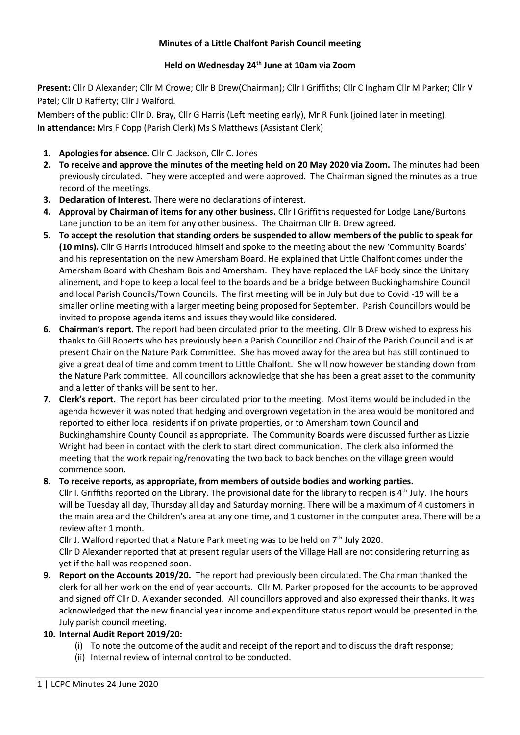## **Minutes of a Little Chalfont Parish Council meeting**

## **Held on Wednesday 24th June at 10am via Zoom**

**Present:** Cllr D Alexander; Cllr M Crowe; Cllr B Drew(Chairman); Cllr I Griffiths; Cllr C Ingham Cllr M Parker; Cllr V Patel; Cllr D Rafferty; Cllr J Walford.

Members of the public: Cllr D. Bray, Cllr G Harris (Left meeting early), Mr R Funk (joined later in meeting). **In attendance:** Mrs F Copp (Parish Clerk) Ms S Matthews (Assistant Clerk)

- **1. Apologies for absence.** Cllr C. Jackson, Cllr C. Jones
- **2. To receive and approve the minutes of the meeting held on 20 May 2020 via Zoom.** The minutes had been previously circulated. They were accepted and were approved. The Chairman signed the minutes as a true record of the meetings.
- **3. Declaration of Interest.** There were no declarations of interest.
- **4. Approval by Chairman of items for any other business.** Cllr I Griffiths requested for Lodge Lane/Burtons Lane junction to be an item for any other business. The Chairman Cllr B. Drew agreed.
- **5. To accept the resolution that standing orders be suspended to allow members of the public to speak for (10 mins).** Cllr G Harris Introduced himself and spoke to the meeting about the new 'Community Boards' and his representation on the new Amersham Board. He explained that Little Chalfont comes under the Amersham Board with Chesham Bois and Amersham. They have replaced the LAF body since the Unitary alinement, and hope to keep a local feel to the boards and be a bridge between Buckinghamshire Council and local Parish Councils/Town Councils. The first meeting will be in July but due to Covid -19 will be a smaller online meeting with a larger meeting being proposed for September. Parish Councillors would be invited to propose agenda items and issues they would like considered.
- **6. Chairman's report.** The report had been circulated prior to the meeting. Cllr B Drew wished to express his thanks to Gill Roberts who has previously been a Parish Councillor and Chair of the Parish Council and is at present Chair on the Nature Park Committee. She has moved away for the area but has still continued to give a great deal of time and commitment to Little Chalfont. She will now however be standing down from the Nature Park committee. All councillors acknowledge that she has been a great asset to the community and a letter of thanks will be sent to her.
- **7. Clerk's report.** The report has been circulated prior to the meeting. Most items would be included in the agenda however it was noted that hedging and overgrown vegetation in the area would be monitored and reported to either local residents if on private properties, or to Amersham town Council and Buckinghamshire County Council as appropriate. The Community Boards were discussed further as Lizzie Wright had been in contact with the clerk to start direct communication. The clerk also informed the meeting that the work repairing/renovating the two back to back benches on the village green would commence soon.

#### **8. To receive reports, as appropriate, from members of outside bodies and working parties.**

Cllr I. Griffiths reported on the Library. The provisional date for the library to reopen is  $4<sup>th</sup>$  July. The hours will be Tuesday all day, Thursday all day and Saturday morning. There will be a maximum of 4 customers in the main area and the Children's area at any one time, and 1 customer in the computer area. There will be a review after 1 month.

Cllr J. Walford reported that a Nature Park meeting was to be held on  $7<sup>th</sup>$  July 2020.

Cllr D Alexander reported that at present regular users of the Village Hall are not considering returning as yet if the hall was reopened soon.

**9. Report on the Accounts 2019/20.** The report had previously been circulated. The Chairman thanked the clerk for all her work on the end of year accounts. Cllr M. Parker proposed for the accounts to be approved and signed off Cllr D. Alexander seconded. All councillors approved and also expressed their thanks. It was acknowledged that the new financial year income and expenditure status report would be presented in the July parish council meeting.

#### **10. Internal Audit Report 2019/20:**

- (i) To note the outcome of the audit and receipt of the report and to discuss the draft response;
- (ii) Internal review of internal control to be conducted.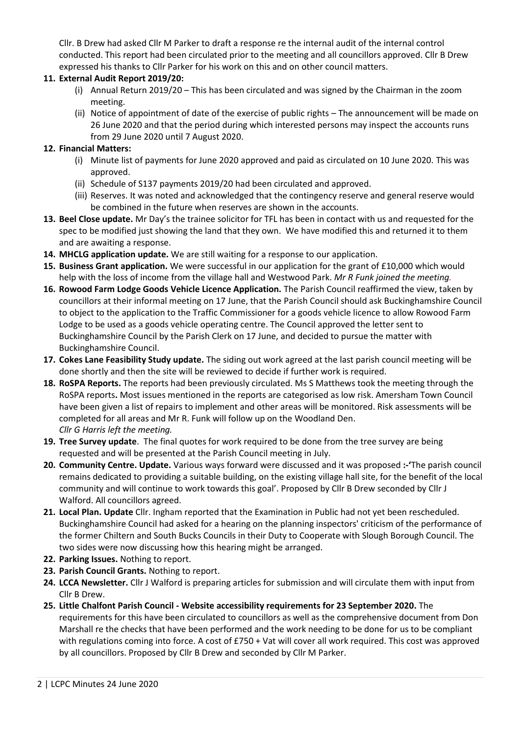Cllr. B Drew had asked Cllr M Parker to draft a response re the internal audit of the internal control conducted. This report had been circulated prior to the meeting and all councillors approved. Cllr B Drew expressed his thanks to Cllr Parker for his work on this and on other council matters.

# **11. External Audit Report 2019/20:**

- (i) Annual Return 2019/20 This has been circulated and was signed by the Chairman in the zoom meeting.
- (ii) Notice of appointment of date of the exercise of public rights The announcement will be made on 26 June 2020 and that the period during which interested persons may inspect the accounts runs from 29 June 2020 until 7 August 2020.

# **12. Financial Matters:**

- (i) Minute list of payments for June 2020 approved and paid as circulated on 10 June 2020. This was approved.
- (ii) Schedule of S137 payments 2019/20 had been circulated and approved.
- (iii) Reserves. It was noted and acknowledged that the contingency reserve and general reserve would be combined in the future when reserves are shown in the accounts.
- **13. Beel Close update.** Mr Day's the trainee solicitor for TFL has been in contact with us and requested for the spec to be modified just showing the land that they own. We have modified this and returned it to them and are awaiting a response.
- **14. MHCLG application update.** We are still waiting for a response to our application.
- **15. Business Grant application.** We were successful in our application for the grant of £10,000 which would help with the loss of income from the village hall and Westwood Park. *Mr R Funk joined the meeting.*
- **16. Rowood Farm Lodge Goods Vehicle Licence Application.** The Parish Council reaffirmed the view, taken by councillors at their informal meeting on 17 June, that the Parish Council should ask Buckinghamshire Council to object to the application to the Traffic Commissioner for a goods vehicle licence to allow Rowood Farm Lodge to be used as a goods vehicle operating centre. The Council approved the letter sent to Buckinghamshire Council by the Parish Clerk on 17 June, and decided to pursue the matter with Buckinghamshire Council.
- **17. Cokes Lane Feasibility Study update.** The siding out work agreed at the last parish council meeting will be done shortly and then the site will be reviewed to decide if further work is required.
- **18. RoSPA Reports.** The reports had been previously circulated. Ms S Matthews took the meeting through the RoSPA reports**.** Most issues mentioned in the reports are categorised as low risk. Amersham Town Council have been given a list of repairs to implement and other areas will be monitored. Risk assessments will be completed for all areas and Mr R. Funk will follow up on the Woodland Den. *Cllr G Harris left the meeting.*
- **19. Tree Survey update**. The final quotes for work required to be done from the tree survey are being requested and will be presented at the Parish Council meeting in July.
- **20. Community Centre. Update.** Various ways forward were discussed and it was proposed **:-'**The parish council remains dedicated to providing a suitable building, on the existing village hall site, for the benefit of the local community and will continue to work towards this goal'. Proposed by Cllr B Drew seconded by Cllr J Walford. All councillors agreed.
- **21. Local Plan. Update** Cllr. Ingham reported that the Examination in Public had not yet been rescheduled. Buckinghamshire Council had asked for a hearing on the planning inspectors' criticism of the performance of the former Chiltern and South Bucks Councils in their Duty to Cooperate with Slough Borough Council. The two sides were now discussing how this hearing might be arranged.
- **22. Parking Issues.** Nothing to report.
- **23. Parish Council Grants.** Nothing to report.
- **24. LCCA Newsletter.** Cllr J Walford is preparing articles for submission and will circulate them with input from Cllr B Drew.
- **25. Little Chalfont Parish Council - Website accessibility requirements for 23 September 2020.** The requirements for this have been circulated to councillors as well as the comprehensive document from Don Marshall re the checks that have been performed and the work needing to be done for us to be compliant with regulations coming into force. A cost of £750 + Vat will cover all work required. This cost was approved by all councillors. Proposed by Cllr B Drew and seconded by Cllr M Parker.